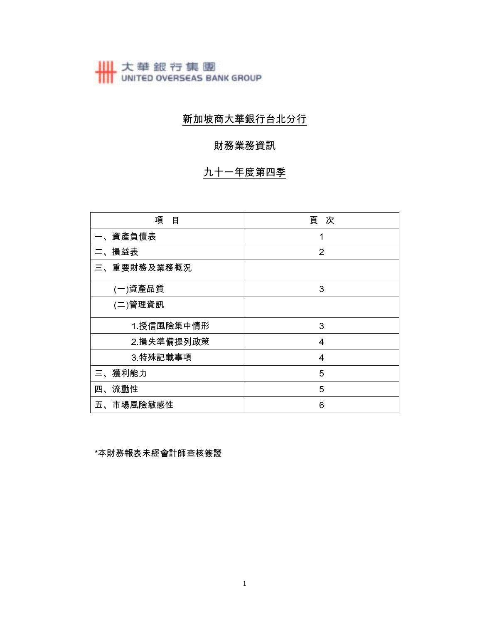# 大華銀行集團<br>
UNITED OVERSEAS BANK GROUP

## 新加坡商大華銀行台北分行

### 財務業務資訊

## 九十一年度第四季

| 項<br>目      | 頁 次            |
|-------------|----------------|
| 、資產負債表      |                |
| 損益表<br>ニ.   | $\overline{2}$ |
| 三、重要財務及業務概況 |                |
| (一)資產品質     | 3              |
| (二)管理資訊     |                |
| 1 授信風險集中情形  | 3              |
| 2 損失準備提列政策  | 4              |
| 3 特殊記載事項    | 4              |
| 三、獲利能力      | 5              |
| 四、流動性       | 5              |
| 五、市場風險敏感性   | 6              |

\*本財務報表未經會計師查核簽證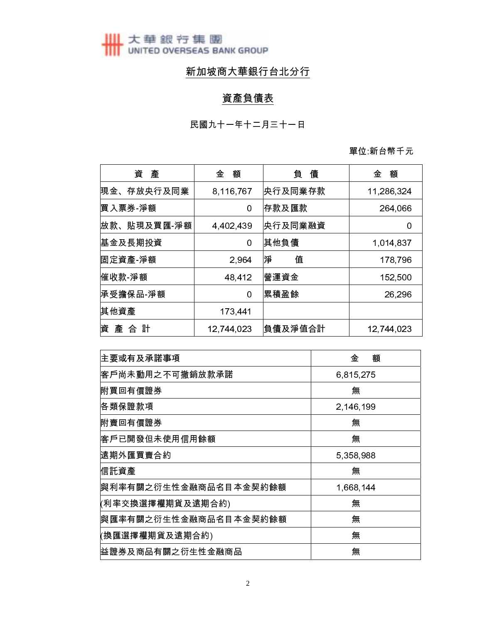大華銀行集團<br>
UNITED OVERSEAS BANK GROUP

## 新加坡商大華銀行台北分行

## 資產負債表

單位 新台幣千元

| 資<br>產        | 額<br>金     | 債<br>負  | 額<br>金     |
|---------------|------------|---------|------------|
| 現金、存放央行及同業    | 8,116,767  | 央行及同業存款 | 11,286,324 |
| 慣入票券 淨額       | 0          | 存款及匯款   | 264,066    |
| 放款、貼現及買匯-淨額   | 4,402,439  | 央行及同業融資 | 0          |
| 基金及長期投資       | 0          | 其他負債    | 1,014,837  |
| 固定資產 淨額       | 2,964      | 淨<br>值  | 178,796    |
| 催收款 淨額        | 48,412     | 營運資金    | 152,500    |
| 承受擔保品 淨額      | 0          | 累積盈餘    | 26,296     |
| 其他資產          | 173,441    |         |            |
| 資<br>產<br>合 計 | 12,744,023 | 負債及淨值合計 | 12,744,023 |

| 主要或有及承諾事項             | 金<br>額    |
|-----------------------|-----------|
| 客戶尚未動用之不可撤銷放款承諾       | 6,815,275 |
| 附買回有價證券               | 無         |
| 佫類保證款項                | 2,146,199 |
| 附賣回有價證券               | 無         |
| 客戶已開發但未使用信用餘額         | 無         |
| 遠期外匯買賣合約              | 5,358,988 |
| 信託資產                  | 無         |
| 與利率有關之衍生性金融商品名目本金契約餘額 | 1,668,144 |
| (利率交換選擇權期貨及遠期合約)      | 無         |
| 與匯率有關之衍生性金融商品名目本金契約餘額 | 無         |
| (換匯選擇權期貨及遠期合約)        | 無         |
| 益證券及商品有關之衍生性金融商品      | 無         |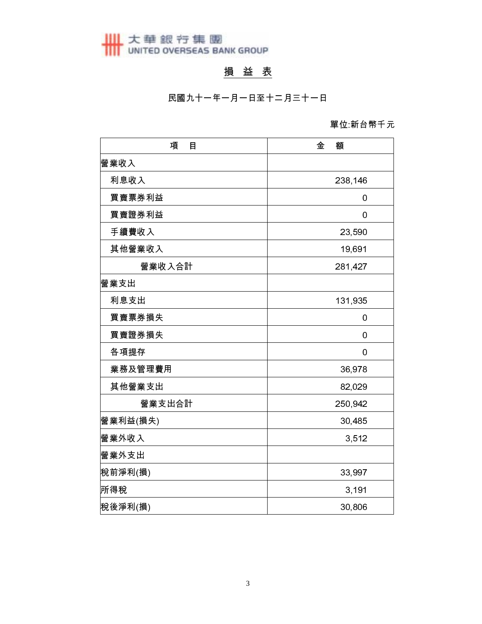# 大華銀行集團<br>
UNITED OVERSEAS BANK GROUP

## 損 益 表

民國九十一年一月一日至十二月三十一日

#### 單位 新台幣千元

| 項<br>目   | 金<br>額  |
|----------|---------|
| 營業收入     |         |
| 利息收入     | 238,146 |
| 買賣票券利益   | 0       |
| 買賣證券利益   | 0       |
| 手續費收入    | 23,590  |
| 其他營業收入   | 19,691  |
| 營業收入合計   | 281,427 |
| 營業支出     |         |
| 利息支出     | 131,935 |
| 買賣票券損失   | 0       |
| 買賣證券損失   | 0       |
| 各項提存     | 0       |
| 業務及管理費用  | 36,978  |
| 其他營業支出   | 82,029  |
| 營業支出合計   | 250,942 |
| 營業利益(損失) | 30,485  |
| 營業外收入    | 3,512   |
| 營業外支出    |         |
| 稅前淨利(損)  | 33,997  |
| 所得稅      | 3,191   |
| 稅後淨利(損)  | 30,806  |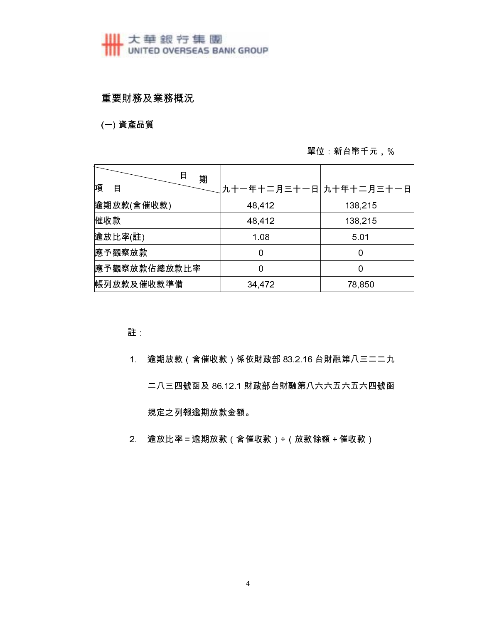## ■ 大華銀行集團<br>■ UNITED OVERSEAS BANK GROUP

#### 重要財務及業務概況

(一) 資產品質

#### 單位: 新台幣千元, %

| 日<br>期       |                        |         |
|--------------|------------------------|---------|
| 項<br>目       | 九十一年十二月三十一日 九十年十二月三十一日 |         |
| 逾期放款(含催收款)   | 48,412                 | 138,215 |
| 催收款          | 48,412                 | 138,215 |
| 逾放比率(註)      | 1.08                   | 5.01    |
| 應予觀察放款       | 0                      | 0       |
| 應予觀察放款佔總放款比率 | Ω                      | 0       |
| 帳列放款及催收款準備   | 34,472                 | 78,850  |

註

- 逾期放款 (含催收款) 係依財政部 83.2.16 台財融第八三二二九  $1<sup>1</sup>$ 二八三四號函及 86.12.1 財政部台財融第八六六五六五六四號函 規定之列報逾期放款金額。
- 2. 逾放比率=逾期放款(含催收款)÷(放款餘額+催收款)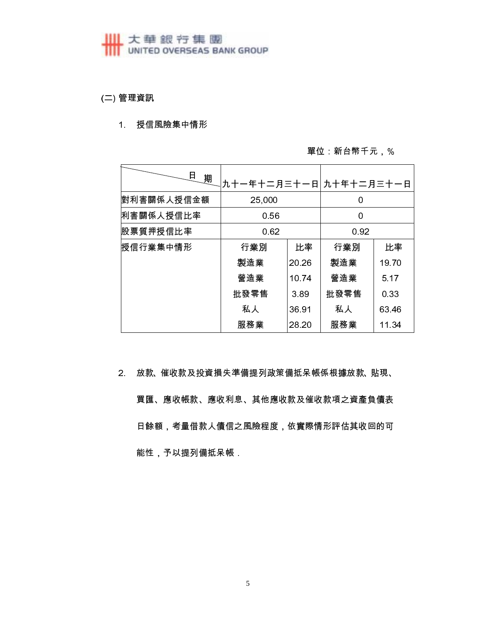## **HI 大華銀行集團**<br>
UNITED OVERSEAS BANK GROUP

(二) 管理資訊

#### 1. 授信風險集中情形

#### 單位 新台幣千元,%

| 日<br>期     | 九十一年十二月三十一日 九十年十二月三十一日 |       |      |       |  |
|------------|------------------------|-------|------|-------|--|
| 對利害關係人授信金額 | 25,000                 |       | 0    |       |  |
| 利害關係人授信比率  | 0.56                   |       | 0    |       |  |
| 股票質押授信比率   | 0.62                   |       | 0.92 |       |  |
| 授信行業集中情形   | 行業別                    | 比率    | 行業別  | 比率    |  |
|            | 製造業                    | 20 26 | 製造業  | 19.70 |  |
|            | 營造業                    | 1074  | 營造業  | 5.17  |  |
|            | 批發零售                   | 3.89  | 批發零售 | 0.33  |  |
|            | 私人                     | 3691  | 私人   | 63.46 |  |
|            | 服務業                    | 28.20 | 服務業  | 11 34 |  |

2. 放款、催收款及投資損失準備提列政策備抵呆帳係根據放款、貼現、 買匯、應收帳款、應收利息、其他應收款及催收款項之資產負債表 日餘額,考量借款人債信之風險程度,依實際情形評估其收回的可 能性,予以提列備抵呆帳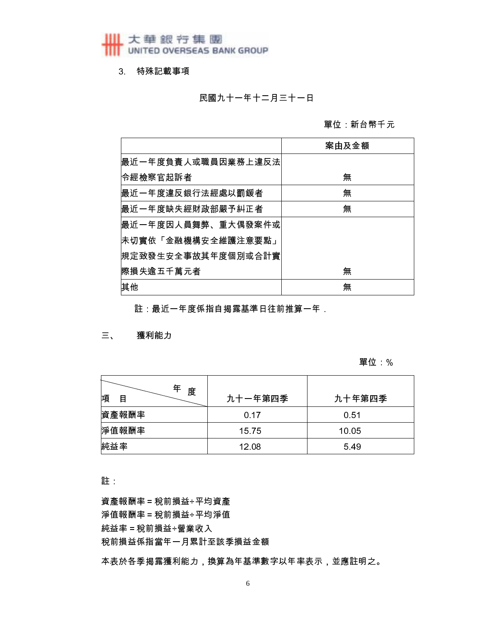3 特殊記載事項

民國九十一年十二月三十一日

單位 新台幣千元

|                    | 案由及金額 |
|--------------------|-------|
| 最近一年度負責人或職員因業務上違反法 |       |
| 令經檢察官起訴者           | 無     |
| 最近一年度違反銀行法經處以罰鍰者   | 無     |
| 最近一年度缺失經財政部嚴予糾正者   | 無     |
| 最近一年度因人員舞弊、重大偶發案件或 |       |
| 未切實依「金融機構安全維護注意要點」 |       |
| 規定致發生安全事故其年度個別或合計實 |       |
| l際損失逾五千萬元者         | 無     |
| 其他                 | 無     |

註:最近一年度係指自揭露基準日往前推算一年

三、 獲利能力

#### 單位 %

| 年<br>度<br>項<br>目 | 九十一年第四季 | 九十年第四季 |
|------------------|---------|--------|
| 資產報酬率            | 0.17    | 0.51   |
| 淨值報酬率            | 1575    | 10.05  |
| 純益率              | 12.08   | 549    |

註

資產報酬率 = 稅前損益÷平均資產 淨值報酬率 = 稅前損益÷平均淨值 純益率 = 稅前損益÷營業收入 稅前損益係指當年一月累計至該季損益金額

本表於各季揭露獲利能力,換算為年基準數字以年率表示,並應註明之。